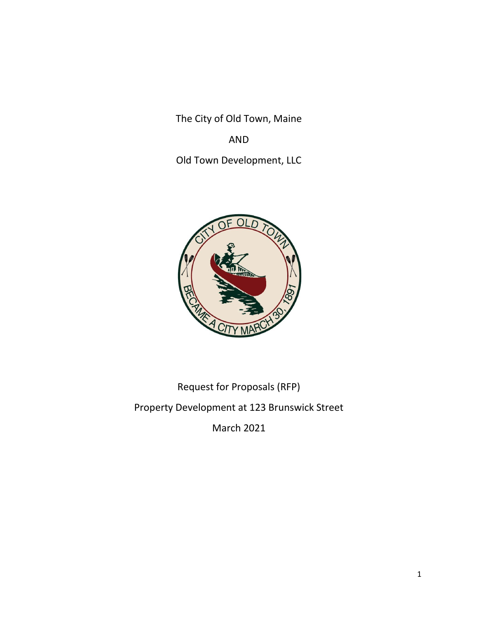The City of Old Town, Maine

## AND

Old Town Development, LLC



# Request for Proposals (RFP) Property Development at 123 Brunswick Street

March 2021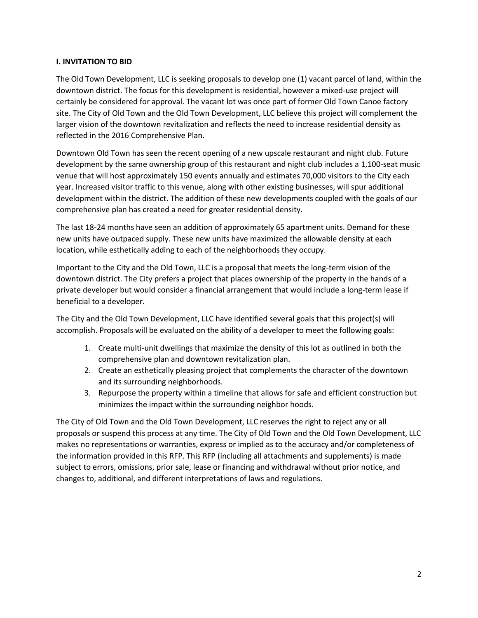#### **I. INVITATION TO BID**

The Old Town Development, LLC is seeking proposals to develop one (1) vacant parcel of land, within the downtown district. The focus for this development is residential, however a mixed-use project will certainly be considered for approval. The vacant lot was once part of former Old Town Canoe factory site. The City of Old Town and the Old Town Development, LLC believe this project will complement the larger vision of the downtown revitalization and reflects the need to increase residential density as reflected in the 2016 Comprehensive Plan.

Downtown Old Town has seen the recent opening of a new upscale restaurant and night club. Future development by the same ownership group of this restaurant and night club includes a 1,100-seat music venue that will host approximately 150 events annually and estimates 70,000 visitors to the City each year. Increased visitor traffic to this venue, along with other existing businesses, will spur additional development within the district. The addition of these new developments coupled with the goals of our comprehensive plan has created a need for greater residential density.

The last 18-24 months have seen an addition of approximately 65 apartment units. Demand for these new units have outpaced supply. These new units have maximized the allowable density at each location, while esthetically adding to each of the neighborhoods they occupy.

Important to the City and the Old Town, LLC is a proposal that meets the long-term vision of the downtown district. The City prefers a project that places ownership of the property in the hands of a private developer but would consider a financial arrangement that would include a long-term lease if beneficial to a developer.

The City and the Old Town Development, LLC have identified several goals that this project(s) will accomplish. Proposals will be evaluated on the ability of a developer to meet the following goals:

- 1. Create multi-unit dwellings that maximize the density of this lot as outlined in both the comprehensive plan and downtown revitalization plan.
- 2. Create an esthetically pleasing project that complements the character of the downtown and its surrounding neighborhoods.
- 3. Repurpose the property within a timeline that allows for safe and efficient construction but minimizes the impact within the surrounding neighbor hoods.

The City of Old Town and the Old Town Development, LLC reserves the right to reject any or all proposals or suspend this process at any time. The City of Old Town and the Old Town Development, LLC makes no representations or warranties, express or implied as to the accuracy and/or completeness of the information provided in this RFP. This RFP (including all attachments and supplements) is made subject to errors, omissions, prior sale, lease or financing and withdrawal without prior notice, and changes to, additional, and different interpretations of laws and regulations.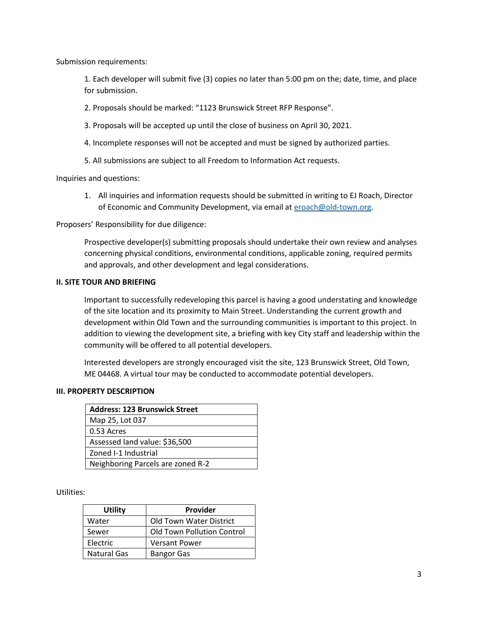Submission requirements:

1. Each developer will submit five (3) copies no later than 5:00 pm on the; date, time, and place for submission.

2. Proposals should be marked: "1123 Brunswick Street RFP Response".

- 3. Proposals will be accepted up until the close of business on April 30, 2021.
- 4. Incomplete responses will not be accepted and must be signed by authorized parties.
- 5. All submissions are subject to all Freedom to Information Act requests.

Inquiries and questions:

1. All inquiries and information requests should be submitted in writing to EJ Roach, Director of Economic and Community Development, via email at [eroach@old-town.org.](mailto:eroach@old-town.org)

Proposers' Responsibility for due diligence:

Prospective developer(s) submitting proposals should undertake their own review and analyses concerning physical conditions, environmental conditions, applicable zoning, required permits and approvals, and other development and legal considerations.

#### **II. SITE TOUR AND BRIEFING**

Important to successfully redeveloping this parcel is having a good understating and knowledge of the site location and its proximity to Main Street. Understanding the current growth and development within Old Town and the surrounding communities is important to this project. In addition to viewing the development site, a briefing with key City staff and leadership within the community will be offered to all potential developers.

Interested developers are strongly encouraged visit the site, 123 Brunswick Street, Old Town, ME 04468. A virtual tour may be conducted to accommodate potential developers.

#### **III. PROPERTY DESCRIPTION**

| <b>Address: 123 Brunswick Street</b> |  |
|--------------------------------------|--|
| Map 25, Lot 037                      |  |
| 0.53 Acres                           |  |
| Assessed land value: \$36,500        |  |
| Zoned I-1 Industrial                 |  |
| Neighboring Parcels are zoned R-2    |  |

Utilities:

| <b>Utility</b>     | Provider                          |
|--------------------|-----------------------------------|
| Water              | <b>Old Town Water District</b>    |
| Sewer              | <b>Old Town Pollution Control</b> |
| Electric           | <b>Versant Power</b>              |
| <b>Natural Gas</b> | <b>Bangor Gas</b>                 |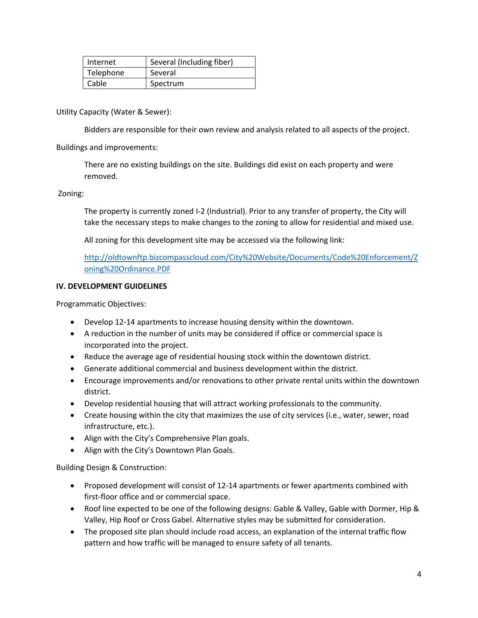| Internet  | Several (Including fiber) |
|-----------|---------------------------|
| Telephone | Several                   |
| Cable     | Spectrum                  |

Utility Capacity (Water & Sewer):

Bidders are responsible for their own review and analysis related to all aspects of the project.

#### Buildings and improvements:

There are no existing buildings on the site. Buildings did exist on each property and were removed.

#### Zoning:

The property is currently zoned I-2 (Industrial). Prior to any transfer of property, the City will take the necessary steps to make changes to the zoning to allow for residential and mixed use.

All zoning for this development site may be accessed via the following link:

[http://oldtownftp.bizcompasscloud.com/City%20Website/Documents/Code%20Enforcement/Z](http://oldtownftp.bizcompasscloud.com/City%20Website/Documents/Code%20Enforcement/Zoning%20Ordinance.PDF) [oning%20Ordinance.PDF](http://oldtownftp.bizcompasscloud.com/City%20Website/Documents/Code%20Enforcement/Zoning%20Ordinance.PDF)

#### **IV. DEVELOPMENT GUIDELINES**

Programmatic Objectives:

- Develop 12-14 apartments to increase housing density within the downtown.
- A reduction in the number of units may be considered if office or commercial space is incorporated into the project.
- Reduce the average age of residential housing stock within the downtown district.
- Generate additional commercial and business development within the district.
- Encourage improvements and/or renovations to other private rental units within the downtown district.
- Develop residential housing that will attract working professionals to the community.
- Create housing within the city that maximizes the use of city services (i.e., water, sewer, road infrastructure, etc.).
- Align with the City's Comprehensive Plan goals.
- Align with the City's Downtown Plan Goals.

Building Design & Construction:

- Proposed development will consist of 12-14 apartments or fewer apartments combined with first-floor office and or commercial space.
- Roof line expected to be one of the following designs: Gable & Valley, Gable with Dormer, Hip & Valley, Hip Roof or Cross Gabel. Alternative styles may be submitted for consideration.
- The proposed site plan should include road access, an explanation of the internal traffic flow pattern and how traffic will be managed to ensure safety of all tenants.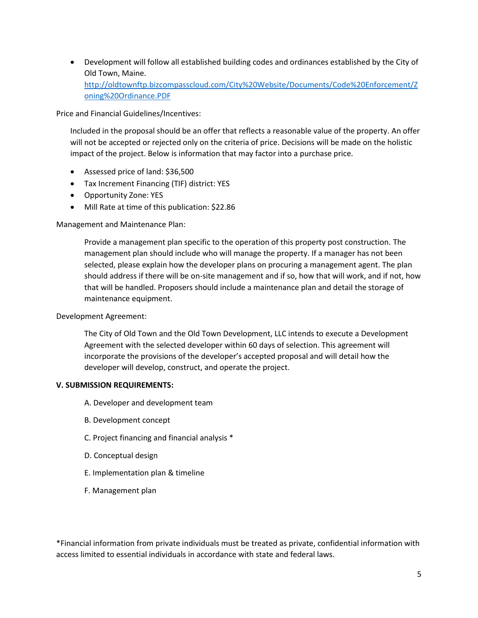• Development will follow all established building codes and ordinances established by the City of Old Town, Maine. [http://oldtownftp.bizcompasscloud.com/City%20Website/Documents/Code%20Enforcement/Z](http://oldtownftp.bizcompasscloud.com/City%20Website/Documents/Code%20Enforcement/Zoning%20Ordinance.PDF) [oning%20Ordinance.PDF](http://oldtownftp.bizcompasscloud.com/City%20Website/Documents/Code%20Enforcement/Zoning%20Ordinance.PDF)

Price and Financial Guidelines/Incentives:

Included in the proposal should be an offer that reflects a reasonable value of the property. An offer will not be accepted or rejected only on the criteria of price. Decisions will be made on the holistic impact of the project. Below is information that may factor into a purchase price.

- Assessed price of land: \$36,500
- Tax Increment Financing (TIF) district: YES
- Opportunity Zone: YES
- Mill Rate at time of this publication: \$22.86

Management and Maintenance Plan:

Provide a management plan specific to the operation of this property post construction. The management plan should include who will manage the property. If a manager has not been selected, please explain how the developer plans on procuring a management agent. The plan should address if there will be on-site management and if so, how that will work, and if not, how that will be handled. Proposers should include a maintenance plan and detail the storage of maintenance equipment.

#### Development Agreement:

The City of Old Town and the Old Town Development, LLC intends to execute a Development Agreement with the selected developer within 60 days of selection. This agreement will incorporate the provisions of the developer's accepted proposal and will detail how the developer will develop, construct, and operate the project.

#### **V. SUBMISSION REQUIREMENTS:**

- A. Developer and development team
- B. Development concept
- C. Project financing and financial analysis \*
- D. Conceptual design
- E. Implementation plan & timeline
- F. Management plan

\*Financial information from private individuals must be treated as private, confidential information with access limited to essential individuals in accordance with state and federal laws.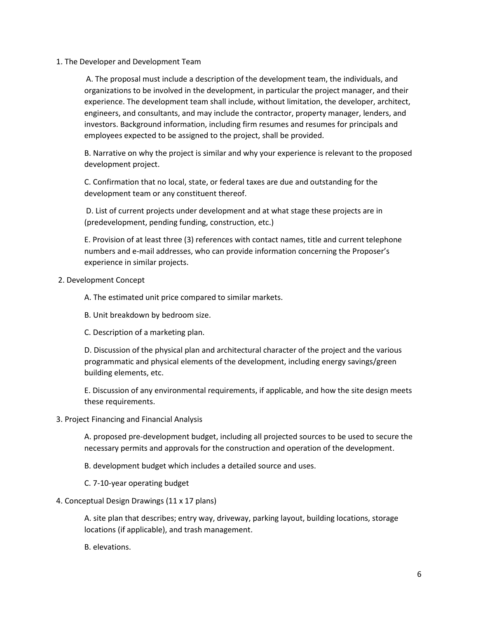1. The Developer and Development Team

A. The proposal must include a description of the development team, the individuals, and organizations to be involved in the development, in particular the project manager, and their experience. The development team shall include, without limitation, the developer, architect, engineers, and consultants, and may include the contractor, property manager, lenders, and investors. Background information, including firm resumes and resumes for principals and employees expected to be assigned to the project, shall be provided.

B. Narrative on why the project is similar and why your experience is relevant to the proposed development project.

C. Confirmation that no local, state, or federal taxes are due and outstanding for the development team or any constituent thereof.

D. List of current projects under development and at what stage these projects are in (predevelopment, pending funding, construction, etc.)

E. Provision of at least three (3) references with contact names, title and current telephone numbers and e-mail addresses, who can provide information concerning the Proposer's experience in similar projects.

2. Development Concept

A. The estimated unit price compared to similar markets.

- B. Unit breakdown by bedroom size.
- C. Description of a marketing plan.

D. Discussion of the physical plan and architectural character of the project and the various programmatic and physical elements of the development, including energy savings/green building elements, etc.

E. Discussion of any environmental requirements, if applicable, and how the site design meets these requirements.

#### 3. Project Financing and Financial Analysis

A. proposed pre-development budget, including all projected sources to be used to secure the necessary permits and approvals for the construction and operation of the development.

B. development budget which includes a detailed source and uses.

C. 7-10-year operating budget

#### 4. Conceptual Design Drawings (11 x 17 plans)

A. site plan that describes; entry way, driveway, parking layout, building locations, storage locations (if applicable), and trash management.

B. elevations.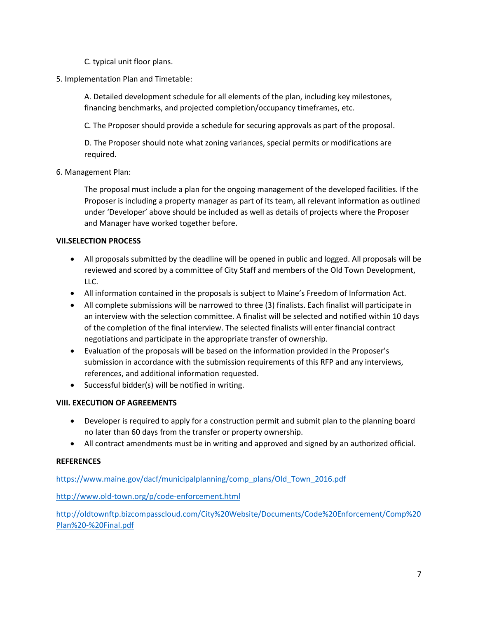- C. typical unit floor plans.
- 5. Implementation Plan and Timetable:

A. Detailed development schedule for all elements of the plan, including key milestones, financing benchmarks, and projected completion/occupancy timeframes, etc.

C. The Proposer should provide a schedule for securing approvals as part of the proposal.

D. The Proposer should note what zoning variances, special permits or modifications are required.

6. Management Plan:

The proposal must include a plan for the ongoing management of the developed facilities. If the Proposer is including a property manager as part of its team, all relevant information as outlined under 'Developer' above should be included as well as details of projects where the Proposer and Manager have worked together before.

#### **VII.SELECTION PROCESS**

- All proposals submitted by the deadline will be opened in public and logged. All proposals will be reviewed and scored by a committee of City Staff and members of the Old Town Development, LLC.
- All information contained in the proposals is subject to Maine's Freedom of Information Act.
- All complete submissions will be narrowed to three (3) finalists. Each finalist will participate in an interview with the selection committee. A finalist will be selected and notified within 10 days of the completion of the final interview. The selected finalists will enter financial contract negotiations and participate in the appropriate transfer of ownership.
- Evaluation of the proposals will be based on the information provided in the Proposer's submission in accordance with the submission requirements of this RFP and any interviews, references, and additional information requested.
- Successful bidder(s) will be notified in writing.

#### **VIII. EXECUTION OF AGREEMENTS**

- Developer is required to apply for a construction permit and submit plan to the planning board no later than 60 days from the transfer or property ownership.
- All contract amendments must be in writing and approved and signed by an authorized official.

#### **REFERENCES**

[https://www.maine.gov/dacf/municipalplanning/comp\\_plans/Old\\_Town\\_2016.pdf](https://www.maine.gov/dacf/municipalplanning/comp_plans/Old_Town_2016.pdf)

<http://www.old-town.org/p/code-enforcement.html>

[http://oldtownftp.bizcompasscloud.com/City%20Website/Documents/Code%20Enforcement/Comp%20](http://oldtownftp.bizcompasscloud.com/City%20Website/Documents/Code%20Enforcement/Comp%20Plan%20-%20Final.pdf) [Plan%20-%20Final.pdf](http://oldtownftp.bizcompasscloud.com/City%20Website/Documents/Code%20Enforcement/Comp%20Plan%20-%20Final.pdf)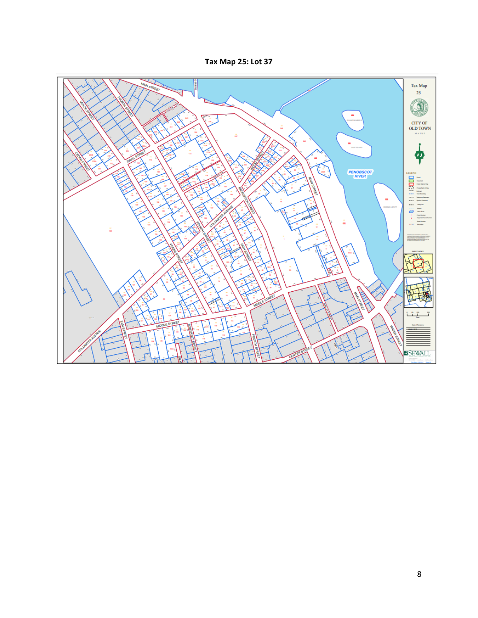### **Tax Map 25: Lot 37**